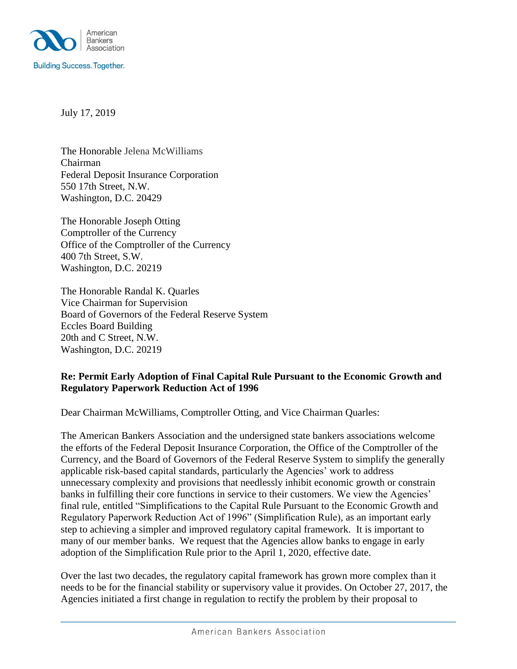

July 17, 2019

The Honorable Jelena McWilliams Chairman Federal Deposit Insurance Corporation 550 17th Street, N.W. Washington, D.C. 20429

The Honorable Joseph Otting Comptroller of the Currency Office of the Comptroller of the Currency 400 7th Street, S.W. Washington, D.C. 20219

The Honorable Randal K. Quarles Vice Chairman for Supervision Board of Governors of the Federal Reserve System Eccles Board Building 20th and C Street, N.W. Washington, D.C. 20219

## **Re: Permit Early Adoption of Final Capital Rule Pursuant to the Economic Growth and Regulatory Paperwork Reduction Act of 1996**

Dear Chairman McWilliams, Comptroller Otting, and Vice Chairman Quarles:

The American Bankers Association and the undersigned state bankers associations welcome the efforts of the Federal Deposit Insurance Corporation, the Office of the Comptroller of the Currency, and the Board of Governors of the Federal Reserve System to simplify the generally applicable risk-based capital standards, particularly the Agencies' work to address unnecessary complexity and provisions that needlessly inhibit economic growth or constrain banks in fulfilling their core functions in service to their customers. We view the Agencies' final rule, entitled "Simplifications to the Capital Rule Pursuant to the Economic Growth and Regulatory Paperwork Reduction Act of 1996" (Simplification Rule), as an important early step to achieving a simpler and improved regulatory capital framework. It is important to many of our member banks. We request that the Agencies allow banks to engage in early adoption of the Simplification Rule prior to the April 1, 2020, effective date.

Over the last two decades, the regulatory capital framework has grown more complex than it needs to be for the financial stability or supervisory value it provides. On October 27, 2017, the Agencies initiated a first change in regulation to rectify the problem by their proposal to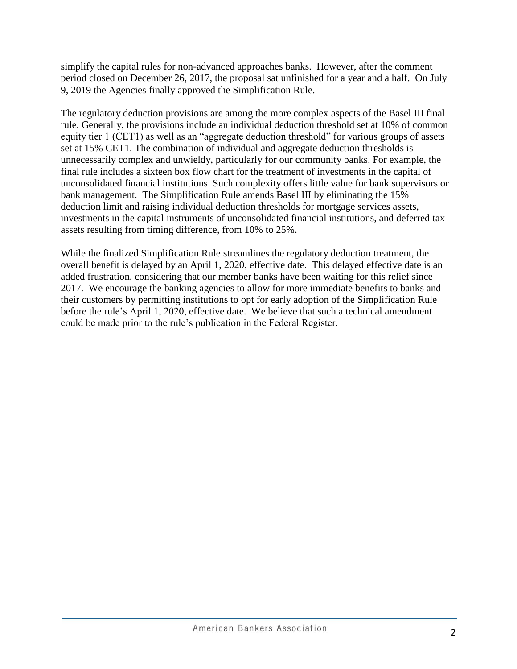simplify the capital rules for non-advanced approaches banks. However, after the comment period closed on December 26, 2017, the proposal sat unfinished for a year and a half. On July 9, 2019 the Agencies finally approved the Simplification Rule.

The regulatory deduction provisions are among the more complex aspects of the Basel III final rule. Generally, the provisions include an individual deduction threshold set at 10% of common equity tier 1 (CET1) as well as an "aggregate deduction threshold" for various groups of assets set at 15% CET1. The combination of individual and aggregate deduction thresholds is unnecessarily complex and unwieldy, particularly for our community banks. For example, the final rule includes a sixteen box flow chart for the treatment of investments in the capital of unconsolidated financial institutions. Such complexity offers little value for bank supervisors or bank management. The Simplification Rule amends Basel III by eliminating the 15% deduction limit and raising individual deduction thresholds for mortgage services assets, investments in the capital instruments of unconsolidated financial institutions, and deferred tax assets resulting from timing difference, from 10% to 25%.

While the finalized Simplification Rule streamlines the regulatory deduction treatment, the overall benefit is delayed by an April 1, 2020, effective date. This delayed effective date is an added frustration, considering that our member banks have been waiting for this relief since 2017. We encourage the banking agencies to allow for more immediate benefits to banks and their customers by permitting institutions to opt for early adoption of the Simplification Rule before the rule's April 1, 2020, effective date. We believe that such a technical amendment could be made prior to the rule's publication in the Federal Register.